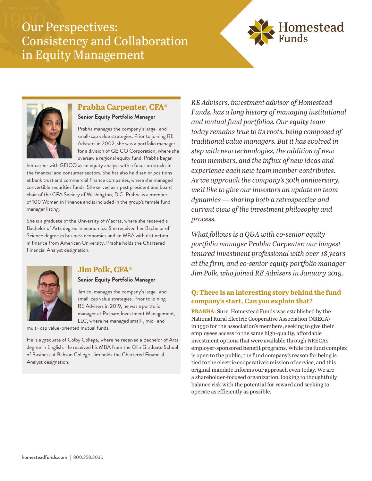# Our Perspectives: Consistency and Collaboration in Equity Management





#### **Prabha Carpenter, CFA® Senior Equity Portfolio Manager**

Prabha manages the company's large- and small-cap value strategies. Prior to joining RE Advisers in 2002, she was a portfolio manager for a division of GEICO Corporation, where she oversaw a regional equity fund. Prabha began

her career with GEICO as an equity analyst with a focus on stocks in the financial and consumer sectors. She has also held senior positions at bank trust and commercial finance companies, where she managed convertible securities funds. She served as a past president and board chair of the CFA Society of Washington, D.C. Prabha is a member of 100 Women in Finance and is included in the group's female fund manager listing.

She is a graduate of the University of Madras, where she received a Bachelor of Arts degree in economics. She received her Bachelor of Science degree in business economics and an MBA with distinction in finance from American University. Prabha holds the Chartered Financial Analyst designation.



### **Jim Polk, CFA®**

**Senior Equity Portfolio Manager**

Jim co-manages the company's large- and small-cap value strategies. Prior to joining RE Advisers in 2019, he was a portfolio manager at Putnam Investment Management, LLC, where he managed small-, mid- and

multi-cap value-oriented mutual funds.

He is a graduate of Colby College, where he received a Bachelor of Arts degree in English. He received his MBA from the Olin Graduate School of Business at Babson College. Jim holds the Chartered Financial Analyst designation.

*RE Advisers, investment advisor of Homestead Funds, has a long history of managing institutional and mutual fund portfolios. Our equity team today remains true to its roots, being composed of traditional value managers. But it has evolved in step with new technologies, the addition of new team members, and the influx of new ideas and experience each new team member contributes. As we approach the company's 30th anniversary, we'd like to give our investors an update on team dynamics — sharing both a retrospective and current view of the investment philosophy and process.*

*What follows is a Q&A with co-senior equity portfolio manager Prabha Carpenter, our longest tenured investment professional with over 18 years at the firm, and co-senior equity portfolio manager Jim Polk, who joined RE Advisers in January 2019.*

#### **Q: There is an interesting story behind the fund company's start. Can you explain that?**

**PRABHA:** Sure. Homestead Funds was established by the National Rural Electric Cooperative Association (NRECA) in 1990 for the association's members, seeking to give their employees access to the same high-quality, affordable investment options that were available through NRECA's employer-sponsored benefit programs. While the fund complex is open to the public, the fund company's reason for being is tied to the electric cooperative's mission of service, and this original mandate informs our approach even today. We are a shareholder-focused organization, looking to thoughtfully balance risk with the potential for reward and seeking to operate as efficiently as possible.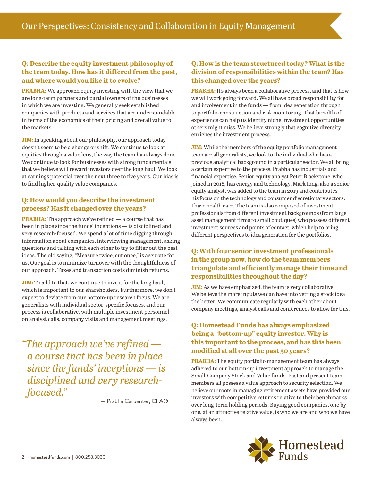#### **Q: Describe the equity investment philosophy of the team today. How has it differed from the past, and where would you like it to evolve?**

**PRABHA:** We approach equity investing with the view that we are long-term partners and partial owners of the businesses in which we are investing. We generally seek established companies with products and services that are understandable in terms of the economics of their pricing and overall value to the markets.

**JIM:** In speaking about our philosophy, our approach today doesn't seem to be a change or shift. We continue to look at equities through a value lens, the way the team has always done. We continue to look for businesses with strong fundamentals that we believe will reward investors over the long haul. We look at earnings potential over the next three to five years. Our bias is to find higher-quality value companies.

#### **Q: How would you describe the investment process? Has it changed over the years?**

**PRABHA:** The approach we've refined — a course that has been in place since the funds' inceptions — is disciplined and very research-focused. We spend a lot of time digging through information about companies, interviewing management, asking questions and talking with each other to try to filter out the best ideas. The old saying, "Measure twice, cut once," is accurate for us. Our goal is to minimize turnover with the thoughtfulness of our approach. Taxes and transaction costs diminish returns.

**JIM:** To add to that, we continue to invest for the long haul, which is important to our shareholders. Furthermore, we don't expect to deviate from our bottom-up research focus. We are generalists with individual sector-specific focuses, and our process is collaborative, with multiple investment personnel on analyst calls, company visits and management meetings.

*"The approach we've refined a course that has been in place since the funds' inceptions — is disciplined and very researchfocused."*

— Prabha Carpenter, CFA®

#### **Q: How is the team structured today? What is the division of responsibilities within the team? Has this changed over the years?**

**PRABHA:** It's always been a collaborative process, and that is how we will work going forward. We all have broad responsibility for and involvement in the funds — from idea generation through to portfolio construction and risk monitoring. That breadth of experience can help us identify niche investment opportunities others might miss. We believe strongly that cognitive diversity enriches the investment process.

**JIM:** While the members of the equity portfolio management team are all generalists, we look to the individual who has a previous analytical background in a particular sector. We all bring a certain expertise to the process. Prabha has industrials and financial expertise. Senior equity analyst Peter Blackstone, who joined in 2018, has energy and technology. Mark Iong, also a senior equity analyst, was added to the team in 2019 and contributes his focus on the technology and consumer discretionary sectors. I have health care. The team is also composed of investment professionals from different investment backgrounds (from large asset management firms to small boutiques) who possess different investment sources and points of contact, which help to bring different perspectives to idea generation for the portfolios.

#### **Q: With four senior investment professionals in the group now, how do the team members triangulate and efficiently manage their time and responsibilities throughout the day?**

**JIM:** As we have emphasized, the team is very collaborative. We believe the more inputs we can have into vetting a stock idea the better. We communicate regularly with each other about company meetings, analyst calls and conferences to allow for this.

#### **Q: Homestead Funds has always emphasized being a "bottom-up" equity investor. Why is this important to the process, and has this been modified at all over the past 30 years?**

**PRABHA:** The equity portfolio management team has always adhered to our bottom-up investment approach to manage the Small-Company Stock and Value funds. Past and present team members all possess a value approach to security selection. We believe our roots in managing retirement assets have provided our investors with competitive returns relative to their benchmarks over long-term holding periods. Buying good companies, one by one, at an attractive relative value, is who we are and who we have always been.

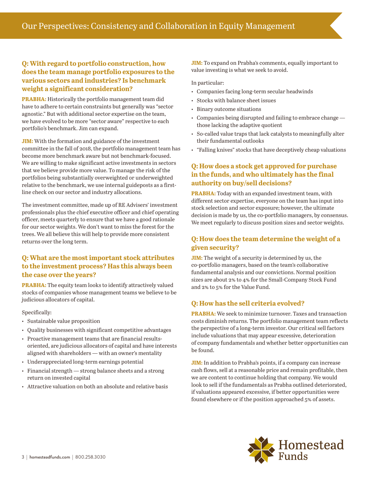#### **Q: With regard to portfolio construction, how does the team manage portfolio exposures to the various sectors and industries? Is benchmark weight a significant consideration?**

**PRABHA:** Historically the portfolio management team did have to adhere to certain constraints but generally was "sector agnostic." But with additional sector expertise on the team, we have evolved to be more "sector aware" respective to each portfolio's benchmark. Jim can expand.

**JIM:** With the formation and guidance of the investment committee in the fall of 2018, the portfolio management team has become more benchmark aware but not benchmark-focused. We are willing to make significant active investments in sectors that we believe provide more value. To manage the risk of the portfolios being substantially overweighted or underweighted relative to the benchmark, we use internal guideposts as a firstline check on our sector and industry allocations.

The investment committee, made up of RE Advisers' investment professionals plus the chief executive officer and chief operating officer, meets quarterly to ensure that we have a good rationale for our sector weights. We don't want to miss the forest for the trees. We all believe this will help to provide more consistent returns over the long term.

#### **Q: What are the most important stock attributes to the investment process? Has this always been the case over the years?**

**PRABHA:** The equity team looks to identify attractively valued stocks of companies whose management teams we believe to be judicious allocators of capital.

Specifically:

- Sustainable value proposition
- Quality businesses with significant competitive advantages
- Proactive management teams that are financial resultsoriented, are judicious allocators of capital and have interests aligned with shareholders — with an owner's mentality
- Underappreciated long-term earnings potential
- Financial strength strong balance sheets and a strong return on invested capital
- Attractive valuation on both an absolute and relative basis

**JIM:** To expand on Prabha's comments, equally important to value investing is what we seek to avoid.

In particular:

- Companies facing long-term secular headwinds
- Stocks with balance sheet issues
- Binary outcome situations
- Companies being disrupted and failing to embrace change those lacking the adaptive quotient
- So-called value traps that lack catalysts to meaningfully alter their fundamental outlooks
- "Falling knives" stocks that have deceptively cheap valuations

#### **Q: How does a stock get approved for purchase in the funds, and who ultimately has the final authority on buy/sell decisions?**

**PRABHA:** Today with an expanded investment team, with different sector expertise, everyone on the team has input into stock selection and sector exposure; however, the ultimate decision is made by us, the co-portfolio managers, by consensus. We meet regularly to discuss position sizes and sector weights.

#### **Q: How does the team determine the weight of a given security?**

**JIM:** The weight of a security is determined by us, the co-portfolio managers, based on the team's collaborative fundamental analysis and our convictions. Normal position sizes are about 2% to 4% for the Small-Company Stock Fund and 2% to 5% for the Value Fund.

#### **Q: How has the sell criteria evolved?**

**PRABHA:** We seek to minimize turnover. Taxes and transaction costs diminish returns. The portfolio management team reflects the perspective of a long-term investor. Our critical sell factors include valuations that may appear excessive, deterioration of company fundamentals and whether better opportunities can be found.

**JIM:** In addition to Prabha's points, if a company can increase cash flows, sell at a reasonable price and remain profitable, then we are content to continue holding that company. We would look to sell if the fundamentals as Prabha outlined deteriorated, if valuations appeared excessive, if better opportunities were found elsewhere or if the position approached 5% of assets.